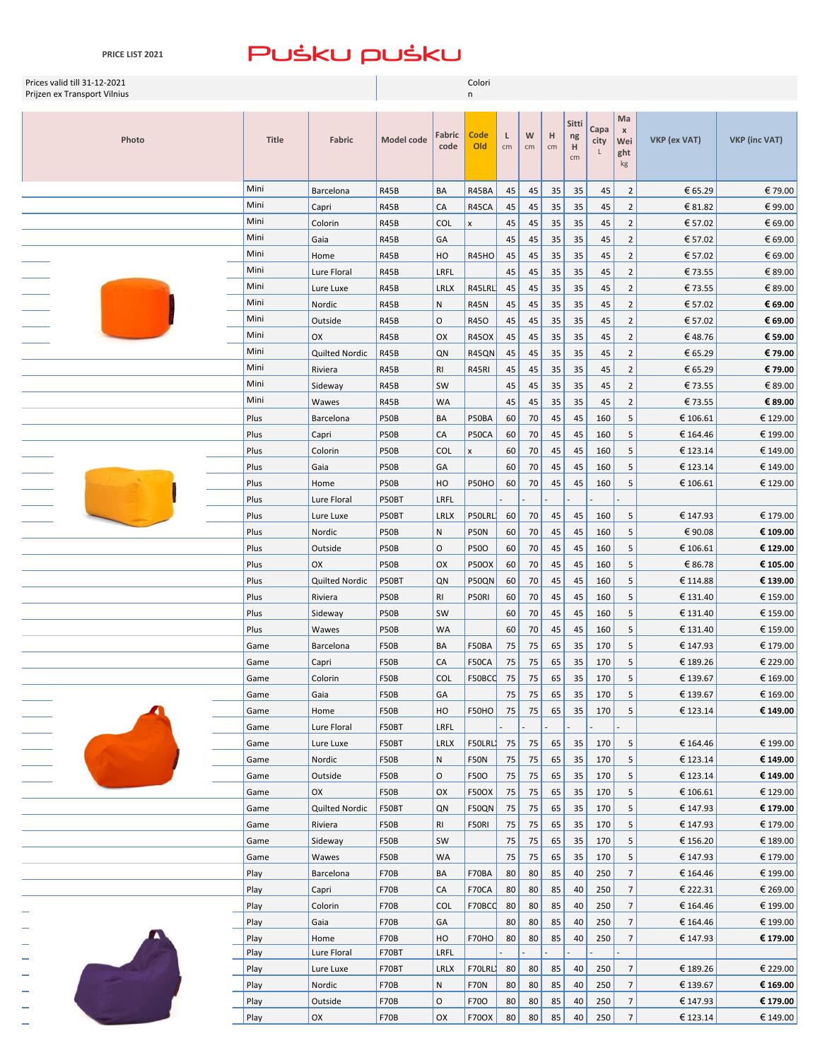| Prices valid till 31-12-2021<br>Prijzen ex Transport Vilnius |              |                     |                      | Colori<br>n    |                    |         |         |         |                        |                   |                                    |              |                      |
|--------------------------------------------------------------|--------------|---------------------|----------------------|----------------|--------------------|---------|---------|---------|------------------------|-------------------|------------------------------------|--------------|----------------------|
|                                                              |              |                     |                      |                |                    |         |         |         |                        |                   | Ma                                 |              |                      |
| Photo                                                        | <b>Title</b> | Fabric              | Model code           | Fabric<br>code | <b>Code</b><br>Old | Г<br>cm | W<br>cm | H<br>cm | Sitti<br>ng<br>H<br>cm | Capa<br>city<br>L | $\pmb{\times}$<br>Wei<br>ght<br>kg | VKP (ex VAT) | <b>VKP</b> (inc VAT) |
|                                                              | Mini         | Barcelona           | R45B                 | BA             | R45BA              | 45      | 45      | 35      | 35                     | 45                | $\overline{2}$                     | € 65.29      | €79.00               |
|                                                              | Mini         | Capri               | <b>R45B</b>          | CA             | R45CA              | 45      | 45      | 35      | 35                     | 45                | $\overline{2}$                     | € 81.82      | €99.00               |
|                                                              | Mini         | Colorin             | R45B                 | <b>COL</b>     | $\pmb{\mathsf{x}}$ | 45      | 45      | 35      | 35                     | 45                | $\overline{2}$                     | € 57.02      | € 69.00              |
|                                                              | Mini         | Gaia                | R45B                 | GA             |                    | 45      | 45      | 35      | 35                     | 45                | $\overline{2}$                     | € 57.02      | € 69.00              |
|                                                              | Mini         | Home                | R45B                 | HO             | <b>R45HO</b>       | 45      | 45      | 35      | 35                     | 45                | $\overline{2}$                     | € 57.02      | € 69.00              |
|                                                              | Mini         | Lure Floral         | R45B                 | LRFL           |                    | 45      | 45      | 35      | 35                     | 45                | $\overline{2}$                     | €73.55       | €89.00               |
|                                                              | Mini         | Lure Luxe           | R45B                 | LRLX           | R45LRL             | 45      | 45      | 35      | 35                     | 45                | $\overline{2}$                     | €73.55       | €89.00               |
|                                                              | Mini         | Nordic              | R45B                 | N              | <b>R45N</b>        | 45      | 45      | 35      | 35                     | 45                | $\overline{2}$                     | € 57.02      | € 69.00              |
|                                                              | Mini         | Outside             | R45B                 | O              | R450               | 45      | 45      | 35      | 35                     | 45                | $\overline{2}$                     | € 57.02      | € 69.00              |
|                                                              | Mini         | OX                  | R45B                 | OX             | <b>R45OX</b>       | 45      | 45      | 35      | 35                     | 45                | $\overline{2}$                     | €48.76       | € 59.00              |
|                                                              | Mini         | Quilted Nordic      | R45B                 | QN             | <b>R45QN</b>       | 45      | 45      | 35      | 35                     | 45                | $\overline{2}$                     | € 65.29      | € 79.00              |
|                                                              | Mini         | Riviera             | R45B                 | <b>RI</b>      | R45RI              | 45      | 45      | 35      | 35                     | 45                | $\overline{2}$                     | € 65.29      | € 79.00              |
|                                                              | Mini         | Sideway             | R45B                 | SW             |                    | 45      | 45      | 35      | 35                     | 45                | $\overline{2}$                     | €73.55       | €89.00               |
|                                                              | Mini         | Wawes               | R45B                 | WA             |                    | 45      | 45      | 35      | 35                     | 45                | $\overline{2}$                     | €73.55       | € 89.00              |
|                                                              | Plus         | Barcelona           | P50B                 | BA             | P50BA              | 60      | 70      | 45      | 45                     | 160               | 5                                  | € 106.61     | € 129.00             |
|                                                              | Plus         | Capri               | P50B                 | CA             | P50CA              | 60      | 70      | 45      | 45                     | 160               | 5                                  | € 164.46     | € 199.00             |
|                                                              | Plus         | Colorin             | P50B                 | <b>COL</b>     | $\mathsf{x}$       | 60      | 70      | 45      | 45                     | 160               | 5                                  | € 123.14     | € 149.00             |
|                                                              | Plus         | Gaia                | P50B                 | GA             |                    | 60      | 70      | 45      | 45                     | 160               | 5                                  | € 123.14     | € 149.00             |
|                                                              | Plus         | Home                | P50B                 | HO             | P50HO              | 60      | 70      | 45      | 45                     | 160               | 5                                  | € 106.61     | € 129.00             |
|                                                              | Plus         | Lure Floral         | P50BT                | LRFL           |                    |         |         |         |                        |                   |                                    |              |                      |
|                                                              | Plus         | Lure Luxe           | P50BT                | <b>LRLX</b>    | P50LRL             | 60      | 70      | 45      | 45                     | 160               | 5                                  | € 147.93     | € 179.00             |
|                                                              | Plus         | Nordic              | P50B                 | N              | P50N               | 60      | 70      | 45      | 45                     | 160               | 5                                  | €90.08       | € 109.00             |
|                                                              | Plus         | Outside             | P50B                 | O              | P50O               | 60      | 70      | 45      | 45                     | 160               | 5                                  | € 106.61     | € 129.00             |
|                                                              | Plus         | OX                  | P50B                 | OX             | <b>P50OX</b>       | 60      | 70      | 45      | 45                     | 160               | 5                                  | € 86.78      | € 105.00             |
|                                                              | Plus         | Quilted Nordic      | P50BT                | QN             | P50QN              | 60      | 70      | 45      | 45                     | 160               | 5                                  | € 114.88     | € 139.00             |
|                                                              | Plus         | Riviera             | P50B                 | <b>RI</b>      | P50RI              | 60      | 70      | 45      | 45                     | 160               | 5                                  | € 131.40     | € 159.00             |
|                                                              | Plus         | Sideway             | P50B                 | SW             |                    | 60      | 70      | 45      | 45                     | 160               | 5                                  | € 131.40     | € 159.00             |
|                                                              | Plus         | Wawes               | P50B                 | <b>WA</b>      |                    | 60      | 70      | 45      | 45                     | 160               | 5                                  | € 131.40     | € 159.00             |
|                                                              | Game         | Barcelona           | <b>F50B</b>          | BA             | F50BA              | 75      | 75      | 65      | 35                     | 170               | 5                                  | € 147.93     | € 179.00             |
|                                                              | Game         | Capri               | <b>F50B</b>          | CA             | F50CA              | 75      | 75      | 65      | 35                     | 170               | 5                                  | € 189.26     | € 229.00             |
|                                                              | Game         | Colorin             | <b>F50B</b>          | <b>COL</b>     | F50BCC             | 75      | 75      | 65      | 35                     | 170               | 5                                  | € 139.67     | € 169.00             |
|                                                              | Game         | Gaia                | <b>F50B</b>          | GA             |                    | 75      | 75      | 65      | 35                     | 170               | 5                                  | € 139.67     | € 169.00             |
|                                                              | Game         | Home                | <b>F50B</b>          | HO             | F50HO              | 75      | 75      | 65      | 35                     | 170               | 5                                  | € 123.14     | € 149.00             |
|                                                              | Game         | Lure Floral         | F50BT                | LRFL           |                    |         |         |         |                        |                   |                                    |              |                      |
|                                                              | Game         | Lure Luxe           | F50BT                | <b>LRLX</b>    | F50LRL)            | 75      | 75      | 65      | 35                     | 170               | 5                                  | € 164.46     | € 199.00             |
|                                                              | Game         | Nordic              | <b>F50B</b>          | N              | <b>F50N</b>        | 75      | 75      | 65      | 35                     | 170               | 5                                  | € 123.14     | € 149.00             |
|                                                              | Game         | Outside             | <b>F50B</b>          | O              | F500               | 75      | 75      | 65      | 35                     | 170               | 5                                  | € 123.14     | € 149.00             |
|                                                              | Game         | OX                  | <b>F50B</b>          | OX             | <b>F50OX</b>       | 75      | 75      | 65      | 35                     | 170               | 5                                  | € 106.61     | € 129.00             |
|                                                              | Game         | Quilted Nordic      | F50BT                | QN             | F50QN              | 75      | 75      | 65      | 35                     | 170               | 5                                  | € 147.93     | € 179.00             |
|                                                              | Game         | Riviera             | <b>F50B</b>          | <b>RI</b>      | F50RI              | 75      | 75      | 65      | 35                     | 170               | 5                                  | € 147.93     | € 179.00             |
|                                                              | Game         | Sideway             | <b>F50B</b>          | SW             |                    | 75      | 75      | 65      | 35                     | 170               | 5                                  | € 156.20     | € 189.00             |
|                                                              | Game         | Wawes               | <b>F50B</b>          | <b>WA</b>      |                    | 75      | 75      | 65      | 35                     | 170               | 5                                  | € 147.93     | € 179.00             |
|                                                              | Play         | Barcelona           | <b>F70B</b>          | BA             | F70BA              | 80      | 80      | 85      | 40                     | 250               | $\overline{7}$                     | € 164.46     | € 199.00             |
|                                                              | Play         | Capri               | <b>F70B</b>          | CA             | F70CA              | 80      | 80      | 85      | 40                     | 250               | $\overline{7}$                     | € 222.31     | € 269.00             |
|                                                              | Play         | Colorin             | <b>F70B</b>          | <b>COL</b>     | F70BCC             | 80      | 80      | 85      | 40                     | 250               | $\overline{7}$                     | € 164.46     | € 199.00             |
|                                                              | Play         | Gaia                | <b>F70B</b>          | GA             |                    | 80      | 80      | 85      | 40                     | 250               | $\overline{7}$                     | € 164.46     | € 199.00             |
|                                                              | Play         | Home<br>Lure Floral | <b>F70B</b><br>F70BT | HO<br>LRFL     | F70HO              | 80      | 80      | 85      | 40                     | 250               | $\overline{7}$                     | € 147.93     | € 179.00             |
|                                                              | Play<br>Play | Lure Luxe           | F70BT                | LRLX           | F70LRL             | 80      | 80      | 85      | 40                     | 250               | $\overline{7}$                     | € 189.26     | € 229.00             |
|                                                              | Play         | Nordic              | <b>F70B</b>          | N              | <b>F70N</b>        | 80      | 80      | 85      | 40                     | 250               | $\overline{7}$                     | € 139.67     | € 169.00             |
|                                                              | Play         | Outside             | <b>F70B</b>          | O              | F700               | 80      | 80      | 85      | 40                     | 250               | $\overline{7}$                     | € 147.93     | € 179.00             |
|                                                              | Play         | OX                  | <b>F70B</b>          | OX             | <b>F700X</b>       | 80      | 80      | 85      | 40                     | 250               | $\overline{7}$                     | € 123.14     | € 149.00             |
|                                                              |              |                     |                      |                |                    |         |         |         |                        |                   |                                    |              |                      |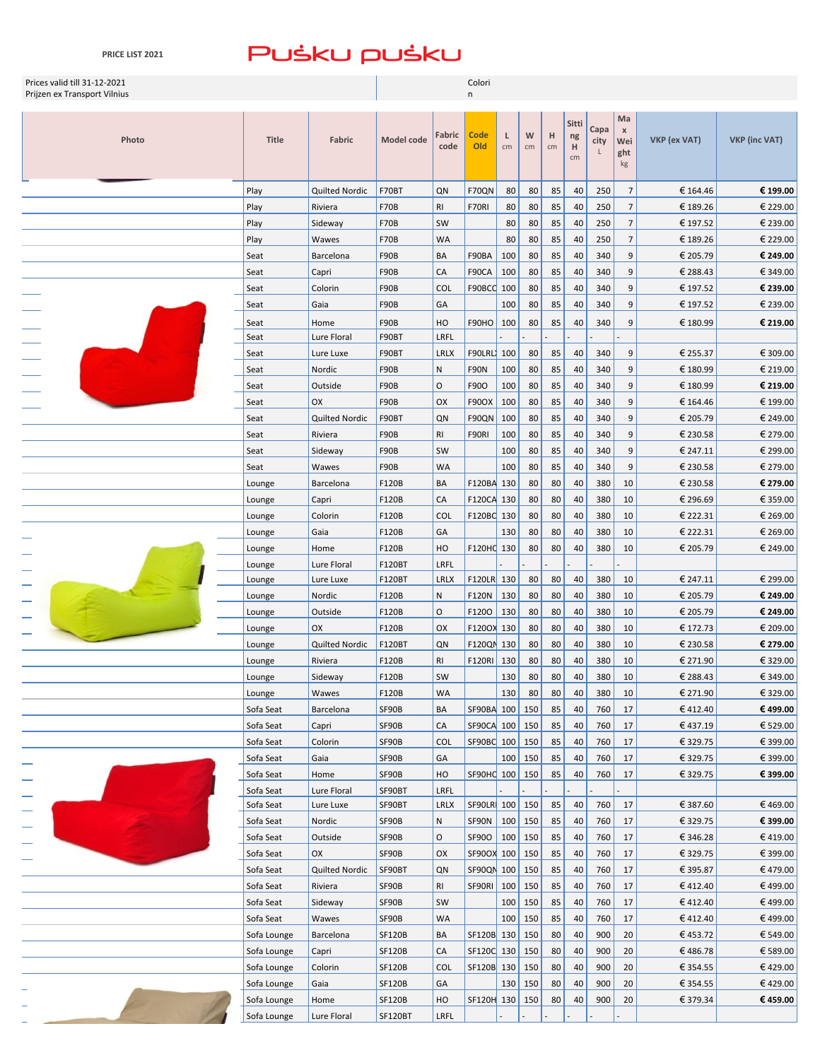| Prices valid till 31-12-2021<br>Prijzen ex Transport Vilnius |                  |                   | Colori<br>n     |                     |                    |         |         |         |                        |              |                                          |              |                      |  |
|--------------------------------------------------------------|------------------|-------------------|-----------------|---------------------|--------------------|---------|---------|---------|------------------------|--------------|------------------------------------------|--------------|----------------------|--|
|                                                              |                  |                   |                 |                     |                    |         |         |         |                        |              |                                          |              |                      |  |
| Photo                                                        | Title            | Fabric            | Model code      | Fabric<br>code      | <b>Code</b><br>Old | L<br>cm | W<br>cm | н<br>cm | Sitti<br>ng<br>н<br>cm | Capa<br>city | Ma<br>$\pmb{\times}$<br>Wei<br>ght<br>kg | VKP (ex VAT) | <b>VKP (inc VAT)</b> |  |
|                                                              | Play             | Quilted Nordic    | F70BT           | QN                  | F70QN              | 80      | 80      | 85      | 40                     | 250          | $\overline{7}$                           | € 164.46     | € 199.00             |  |
|                                                              | Play             | Riviera           | <b>F70B</b>     | RI                  | F70RI              | 80      | 80      | 85      | 40                     | 250          | $\overline{7}$                           | € 189.26     | € 229.00             |  |
|                                                              | Play             | Sideway           | <b>F70B</b>     | SW                  |                    | 80      | 80      | 85      | 40                     | 250          | $\overline{7}$                           | € 197.52     | € 239.00             |  |
|                                                              | Play             | Wawes             | <b>F70B</b>     | <b>WA</b>           |                    | 80      | 80      | 85      | 40                     | 250          | $\overline{7}$                           | € 189.26     | € 229.00             |  |
|                                                              | Seat             | Barcelona         | <b>F90B</b>     | BA                  | F90BA              | 100     | 80      | 85      | 40                     | 340          | 9                                        | € 205.79     | € 249.00             |  |
|                                                              | Seat             | Capri             | <b>F90B</b>     | CA                  | F90CA              | 100     | 80      | 85      | 40                     | 340          | 9                                        | € 288.43     | € 349.00             |  |
|                                                              | Seat             | Colorin           | <b>F90B</b>     | COL                 | F90BCC             | 100     | 80      | 85      | 40                     | 340          | 9                                        | € 197.52     | € 239.00             |  |
|                                                              | Seat             | Gaia              | F90B            | GA                  |                    | 100     | 80      | 85      | 40                     | 340          | 9                                        | € 197.52     | € 239.00             |  |
|                                                              | Seat             | Home              | F90B            | HO                  | F90HO              | 100     | 80      | 85      | 40                     | 340          | 9                                        | € 180.99     | € 219.00             |  |
|                                                              | Seat             | Lure Floral       | F90BT           | LRFL                |                    |         |         |         |                        |              |                                          |              |                      |  |
|                                                              | Seat             | Lure Luxe         | F90BT           | LRLX                | F90LRL)            | 100     | 80      | 85      | 40                     | 340          | 9                                        | € 255.37     | € 309.00             |  |
|                                                              | Seat             | Nordic            | F90B            | ${\sf N}$           | <b>F90N</b>        | 100     | 80      | 85      | 40                     | 340          | 9                                        | € 180.99     | € 219.00             |  |
|                                                              | Seat             | Outside           | F90B            | O                   | F90O               | 100     | 80      | 85      | 40                     | 340          | 9                                        | € 180.99     | € 219.00             |  |
|                                                              | Seat             | OX                | F90B            | OX                  | <b>F90OX</b>       | 100     | 80      | 85      | 40                     | 340          | 9                                        | € 164.46     | € 199.00             |  |
|                                                              | Seat             | Quilted Nordic    | F90BT           | QN                  | F90QN              | 100     | 80      | 85      | 40                     | 340          | 9                                        | € 205.79     | € 249.00             |  |
|                                                              | Seat             | Riviera           | F90B            | R1                  | F90RI              | 100     | 80      | 85      | 40                     | 340          | 9                                        | € 230.58     | € 279.00             |  |
|                                                              | Seat             | Sideway           | F90B            | SW                  |                    | 100     | 80      | 85      | 40                     | 340          | 9                                        | € 247.11     | € 299.00             |  |
|                                                              | Seat             | Wawes             | <b>F90B</b>     | <b>WA</b>           |                    | 100     | 80      | 85      | 40                     | 340          | 9                                        | € 230.58     | € 279.00             |  |
|                                                              | Lounge           | Barcelona         | F120B           | BA                  | F120BA 130         |         | 80      | 80      | 40                     | 380          | 10                                       | € 230.58     | € 279.00             |  |
|                                                              | Lounge           | Capri             | F120B           | CA                  | F120CA 130         |         | 80      | 80      | 40                     | 380          | 10                                       | € 296.69     | € 359.00             |  |
|                                                              | Lounge           | Colorin           | F120B           | <b>COL</b>          | F120BC 130         |         | 80      | 80      | 40                     | 380          | 10                                       | € 222.31     | € 269.00             |  |
|                                                              | Lounge           | Gaia              | F120B           | GA                  |                    | 130     | 80      | 80      | 40                     | 380          | 10                                       | € 222.31     | € 269.00             |  |
|                                                              | Lounge           | Home              | F120B           | HO                  | F120HC 130         |         | 80      | 80      | 40                     | 380          | 10                                       | € 205.79     | € 249.00             |  |
|                                                              | Lounge           | Lure Floral       | F120BT          | LRFL<br><b>LRLX</b> | F120LR 130         |         | 80      | 80      | 40                     | 380          | 10                                       | € 247.11     | € 299.00             |  |
|                                                              | Lounge           | Lure Luxe         | F120BT<br>F120B | ${\sf N}$           | F120N              | 130     | 80      | 80      | 40                     | 380          | 10                                       | € 205.79     | € 249.00             |  |
|                                                              | Lounge<br>Lounge | Nordic<br>Outside | F120B           | $\circ$             | F1200              | 130     | 80      | 80      | 40                     | 380          | 10                                       | € 205.79     | € 249.00             |  |
|                                                              | Lounge           | OX                | F120B           | OX                  | F1200X 130         |         | 80      | 80      | 40                     | 380          | 10                                       | € 172.73     | € 209.00             |  |
|                                                              | Lounge           | Quilted Nordic    | F120BT          | QN                  | F120QN 130         |         | 80      | 80      | 40                     | 380          | 10                                       | € 230.58     | € 279.00             |  |
|                                                              | Lounge           | Riviera           | F120B           | R1                  | <b>F120RI</b>      | 130     | 80      | 80      | 40                     | 380          | 10                                       | € 271.90     | € 329.00             |  |
|                                                              | Lounge           | Sideway           | F120B           | SW                  |                    | 130     | 80      | 80      | 40                     | 380          | $10\,$                                   | € 288.43     | € 349.00             |  |
|                                                              | Lounge           | Wawes             | F120B           | WA                  |                    | 130     | 80      | 80      | 40                     | 380          | 10                                       | € 271.90     | € 329.00             |  |
|                                                              | Sofa Seat        | Barcelona         | SF90B           | BA                  | SF90BA 100         |         | 150     | 85      | 40                     | 760          | 17                                       | €412.40      | €499.00              |  |
|                                                              | Sofa Seat        | Capri             | SF90B           | CA                  | SF90CA 100         |         | 150     | 85      | 40                     | 760          | 17                                       | €437.19      | € 529.00             |  |
|                                                              | Sofa Seat        | Colorin           | SF90B           | <b>COL</b>          | SF90BC 100         |         | 150     | 85      | 40                     | 760          | 17                                       | € 329.75     | € 399.00             |  |
|                                                              | Sofa Seat        | Gaia              | SF90B           | GA                  |                    | 100     | 150     | 85      | 40                     | 760          | 17                                       | € 329.75     | € 399.00             |  |
|                                                              | Sofa Seat        | Home              | SF90B           | HO                  | SF90HC 100         |         | 150     | 85      | 40                     | 760          | 17                                       | € 329.75     | € 399.00             |  |
|                                                              | Sofa Seat        | Lure Floral       | SF90BT          | LRFL                |                    |         |         |         |                        |              |                                          |              |                      |  |
|                                                              | Sofa Seat        | Lure Luxe         | SF90BT          | <b>LRLX</b>         | SF90LR 100 150     |         |         | 85      | 40                     | 760          | 17                                       | € 387.60     | €469.00              |  |
|                                                              | Sofa Seat        | Nordic            | SF90B           | ${\sf N}$           | <b>SF90N</b>       | 100     | 150     | 85      | 40                     | 760          | 17                                       | € 329.75     | € 399.00             |  |
|                                                              | Sofa Seat        | Outside           | SF90B           | 0                   | SF900              | 100     | 150     | 85      | 40                     | 760          | 17                                       | € 346.28     | €419.00              |  |
|                                                              | Sofa Seat        | OX                | SF90B           | OX                  | SF90OX 100         |         | 150     | 85      | 40                     | 760          | 17                                       | € 329.75     | € 399.00             |  |
|                                                              | Sofa Seat        | Quilted Nordic    | SF90BT          | QN                  | SF90QN 100         |         | 150     | 85      | 40                     | 760          | 17                                       | € 395.87     | €479.00              |  |
|                                                              | Sofa Seat        | Riviera           | SF90B           | RI                  | SF90RI             | 100     | 150     | 85      | 40                     | 760          | 17                                       | €412.40      | €499.00              |  |
|                                                              | Sofa Seat        | Sideway           | SF90B           | SW                  |                    | 100     | 150     | 85      | 40                     | 760          | 17                                       | €412.40      | €499.00              |  |
|                                                              | Sofa Seat        | Wawes             | SF90B           | WA                  |                    | 100     | 150     | 85      | 40                     | 760          | 17                                       | €412.40      | €499.00              |  |
|                                                              | Sofa Lounge      | Barcelona         | SF120B          | BA                  | SF120B 130         |         | 150     | 80      | 40                     | 900          | 20                                       | €453.72      | € 549.00             |  |
|                                                              | Sofa Lounge      | Capri             | SF120B          | СA                  | SF120C 130         |         | 150     | 80      | 40                     | 900          | 20                                       | €486.78      | € 589.00             |  |
|                                                              | Sofa Lounge      | Colorin           | <b>SF120B</b>   | COL                 | SF120B 130         |         | 150     | 80      | 40                     | 900          | 20                                       | € 354.55     | €429.00              |  |
|                                                              | Sofa Lounge      | Gaia              | <b>SF120B</b>   | GА                  |                    | 130     | 150     | 80      | 40                     | 900          | 20                                       | € 354.55     | €429.00              |  |
|                                                              | Sofa Lounge      | Home              | SF120B          | HO                  | SF120H 130 150     |         |         | 80      | 40                     | 900          | 20                                       | € 379.34     | € 459.00             |  |
|                                                              | Sofa Lounge      | Lure Floral       | SF120BT         | LRFL                |                    |         |         |         |                        |              |                                          |              |                      |  |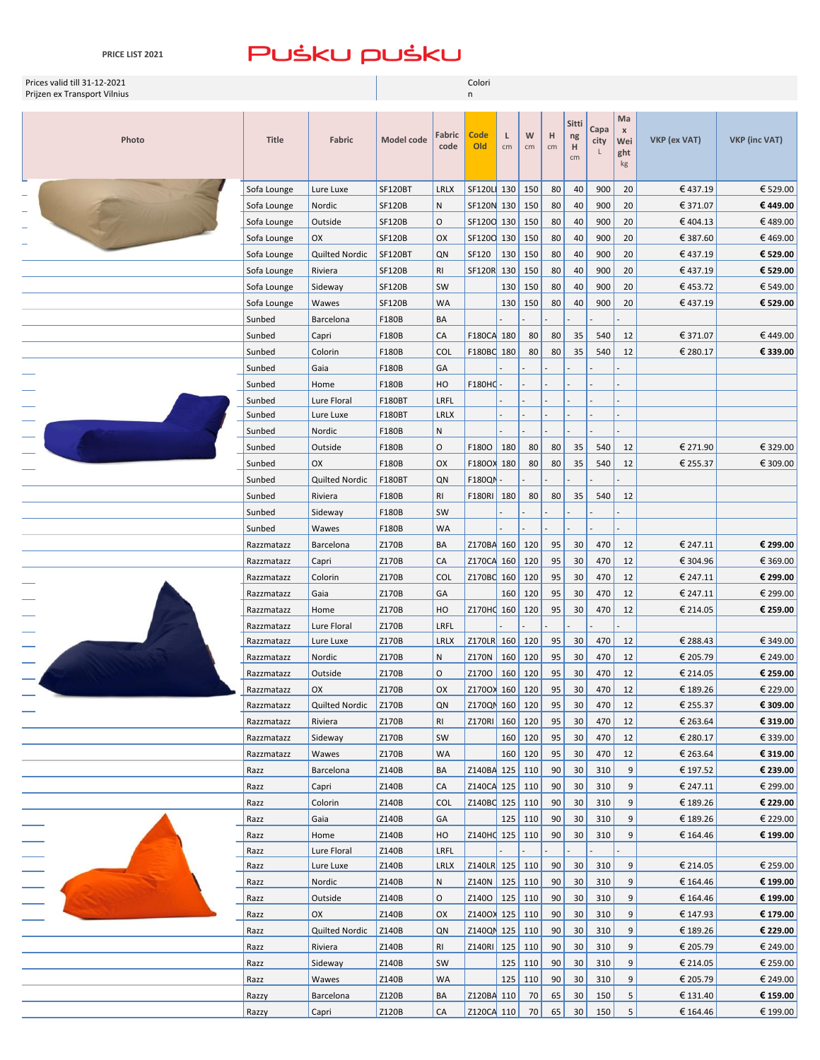**PRICE LIST 2021**

| Prices valid till 31-12-2021 |                  |                   |                   |                | Colori             |         |         |         |             |              |                                 |              |                      |
|------------------------------|------------------|-------------------|-------------------|----------------|--------------------|---------|---------|---------|-------------|--------------|---------------------------------|--------------|----------------------|
| Prijzen ex Transport Vilnius |                  |                   |                   |                | n                  |         |         |         |             |              |                                 |              |                      |
| Photo                        | <b>Title</b>     | Fabric            | <b>Model code</b> | Fabric<br>code | Code<br>Old        | L<br>cm | W<br>cm | H<br>cm | Sitti<br>ng | Capa<br>city | Ma<br>$\pmb{\mathsf{X}}$<br>Wei | VKP (ex VAT) | <b>VKP (inc VAT)</b> |
|                              |                  |                   |                   |                |                    |         |         |         | H<br>cm     | L            | ght<br>kg                       |              |                      |
|                              | Sofa Lounge      | Lure Luxe         | <b>SF120BT</b>    | <b>LRLX</b>    | SF120L 130         |         | 150     | 80      | 40          | 900          | 20                              | €437.19      | € 529.00             |
|                              | Sofa Lounge      | Nordic            | <b>SF120B</b>     | ${\sf N}$      | SF120N 130         |         | 150     | 80      | 40          | 900          | 20                              | € 371.07     | €449.00              |
|                              | Sofa Lounge      | Outside           | <b>SF120B</b>     | $\circ$        | SF1200 130         |         | 150     | 80      | 40          | 900          | 20                              | €404.13      | €489.00              |
|                              | Sofa Lounge      | OX                | <b>SF120B</b>     | OX             | SF1200 130         |         | 150     | 80      | 40          | 900          | 20                              | € 387.60     | €469.00              |
|                              | Sofa Lounge      | Quilted Nordic    | <b>SF120BT</b>    | QN             | SF120              | 130     | 150     | 80      | 40          | 900          | 20                              | €437.19      | € 529.00             |
|                              | Sofa Lounge      | Riviera           | <b>SF120B</b>     | RI             | <b>SF120R</b>      | 130     | 150     | 80      | 40          | 900          | 20                              | €437.19      | € 529.00             |
|                              | Sofa Lounge      | Sideway           | <b>SF120B</b>     | SW             |                    | 130     | 150     | 80      | 40          | 900          | 20                              | €453.72      | € 549.00             |
|                              | Sofa Lounge      | Wawes             | <b>SF120B</b>     | <b>WA</b>      |                    | 130     | 150     | 80      | 40          | 900          | 20                              | €437.19      | € 529.00             |
|                              | Sunbed           | Barcelona         | F180B             | BA             |                    |         |         |         |             |              |                                 |              |                      |
|                              | Sunbed           | Capri             | F180B             | CA             | F180CA 180         |         | 80      | 80      | 35          | 540          | 12                              | € 371.07     | €449.00              |
|                              | Sunbed           | Colorin           | F180B             | <b>COL</b>     | F180BC 180         |         | 80      | 80      | 35          | 540          | 12                              | € 280.17     | € 339.00             |
|                              | Sunbed           | Gaia              | F180B             | GA             |                    |         |         |         |             |              |                                 |              |                      |
|                              | Sunbed           | Home              | F180B             | HO             | F180H <sub>1</sub> |         |         |         |             |              |                                 |              |                      |
|                              | Sunbed           | Lure Floral       | F180BT            | LRFL           |                    |         |         |         |             |              |                                 |              |                      |
|                              | Sunbed           | Lure Luxe         | F180BT            | <b>LRLX</b>    |                    |         |         |         |             |              |                                 |              |                      |
|                              | Sunbed           | Nordic<br>Outside | F180B<br>F180B    | N<br>$\circ$   | $F1800$ 180        |         | 80      | 80      | 35          | 540          | 12                              | € 271.90     | € 329.00             |
|                              | Sunbed<br>Sunbed | OX                | F180B             | OX             | F180OX 180         |         | 80      | 80      | 35          | 540          | 12                              | € 255.37     | € 309.00             |
|                              | Sunbed           | Quilted Nordic    | F180BT            | QN             | <b>F180QN</b>      |         |         |         |             |              |                                 |              |                      |
|                              | Sunbed           | Riviera           | F180B             | RI             | F180RI 180         |         | 80      | 80      | 35          | 540          | 12                              |              |                      |
|                              | Sunbed           | Sideway           | F180B             | SW             |                    |         |         |         |             |              |                                 |              |                      |
|                              | Sunbed           | Wawes             | F180B             | <b>WA</b>      |                    |         |         |         |             |              |                                 |              |                      |
|                              | Razzmatazz       | Barcelona         | Z170B             | BA             | Z170BA 160         |         | 120     | 95      | 30          | 470          | 12                              | € 247.11     | € 299.00             |
|                              | Razzmatazz       | Capri             | Z170B             | CA             | Z170CA 160         |         | 120     | 95      | 30          | 470          | 12                              | € 304.96     | € 369.00             |
|                              | Razzmatazz       | Colorin           | Z170B             | COL            | Z170BC 160         |         | 120     | 95      | 30          | 470          | 12                              | € 247.11     | € 299.00             |
|                              | Razzmatazz       | Gaia              | Z170B             | GA             |                    | 160     | 120     | 95      | 30          | 470          | 12                              | € 247.11     | € 299.00             |
|                              | Razzmatazz       | Home              | Z170B             | HO             | Z170HC 160         |         | 120     | 95      | 30          | 470          | 12                              | € 214.05     | € 259.00             |
|                              | Razzmatazz       | Lure Floral       | Z170B             | LRFL           |                    |         |         |         |             |              |                                 |              |                      |
|                              | Razzmatazz       | Lure Luxe         | Z170B             | <b>LRLX</b>    | Z170LR 160         |         | 120     | 95      | 30          | 470          | 12                              | € 288.43     | € 349.00             |
|                              | Razzmatazz       | Nordic            | Z170B             | ${\sf N}$      | Z170N              | 160     | 120     | 95      | 30          | 470          | 12                              | € 205.79     | € 249.00             |
|                              | Razzmatazz       | Outside           | Z170B             | $\mathsf O$    | Z1700   160   120  |         |         | 95      | 30          | 470          | 12                              | € 214.05     | € 259.00             |
|                              | Razzmatazz       | OX                | Z170B             | OX             | Z1700X 160 120     |         |         | 95      | 30          | 470          | 12                              | €189.26      | € 229.00             |
|                              | Razzmatazz       | Quilted Nordic    | Z170B             | QN             | Z170QN 160 120     |         |         | 95      | 30          | 470          | 12                              | € 255.37     | € 309.00             |
|                              | Razzmatazz       | Riviera           | Z170B             | RI             | Z170RI 160         |         | 120     | 95      | 30          | 470          | 12                              | € 263.64     | € 319.00             |
|                              | Razzmatazz       | Sideway           | Z170B             | SW             |                    |         | 160 120 | 95      | 30          | 470          | 12                              | € 280.17     | € 339.00             |
|                              | Razzmatazz       | Wawes             | Z170B             | <b>WA</b>      |                    |         | 160 120 | 95      | 30          | 470          | 12                              | € 263.64     | € 319.00             |
|                              | Razz             | Barcelona         | Z140B             | BA             | Z140BA 125 110     |         |         | 90      | 30          | 310          | 9                               | € 197.52     | € 239.00             |
|                              | Razz             | Capri             | Z140B             | CA             | Z140CA 125         |         | 110     | 90      | 30          | 310          | 9                               | € 247.11     | € 299.00             |
|                              | Razz             | Colorin           | Z140B             | <b>COL</b>     | Z140BC 125         |         | 110     | 90      | 30          | 310          | 9                               | € 189.26     | € 229.00             |
|                              | Razz             | Gaia              | Z140B             | GA             |                    | 125     | 110     | 90      | 30          | 310          | 9                               | € 189.26     | € 229.00             |
|                              | Razz             | Home              | Z140B             | HO             | Z140HC 125         |         | 110     | 90      | 30          | 310          | 9                               | € 164.46     | € 199.00             |
|                              | Razz             | Lure Floral       | Z140B             | LRFL           |                    |         |         |         |             |              |                                 |              |                      |
|                              | Razz             | Lure Luxe         | Z140B             | LRLX           | Z140LR 125         |         | 110     | 90      | 30          | 310          | 9                               | € 214.05     | € 259.00             |
|                              | Razz             | Nordic            | Z140B             | ${\sf N}$      | Z140N 125          |         | 110     | 90      | 30          | 310          | 9                               | € 164.46     | € 199.00             |
|                              | Razz             | Outside           | Z140B             | $\mathsf O$    | Z1400 125          |         | 110     | 90      | 30          | 310          | 9                               | € 164.46     | € 199.00             |
|                              | Razz             | OX                | Z140B             | OX             | Z140OX 125         |         | 110     | 90      | 30          | 310          | 9                               | € 147.93     | € 179.00             |
|                              | Razz             | Quilted Nordic    | Z140B             | QN             | Z140QN 125         |         | 110     | 90      | 30          | 310          | 9                               | € 189.26     | € 229.00             |
|                              | Razz             | Riviera           | Z140B             | RI             | Z140RI 125         |         | 110     | 90      | 30          | 310          | 9                               | € 205.79     | € 249.00             |
|                              | Razz             | Sideway           | Z140B             | SW             |                    | 125     | 110     | 90      | 30          | 310          | 9                               | € 214.05     | € 259.00             |
|                              | Razz             | Wawes             | Z140B             | <b>WA</b>      |                    | 125     | 110     | 90      | 30          | 310          | 9                               | € 205.79     | € 249.00             |
|                              | Razzy            | Barcelona         | Z120B             | BA             | Z120BA 110         |         | 70      | 65      | 30          | 150          | 5                               | € 131.40     | € 159.00             |

Razzy capri 2120B CA 2120CA 110 70 65 30 150 5 € 164.46 € 199.00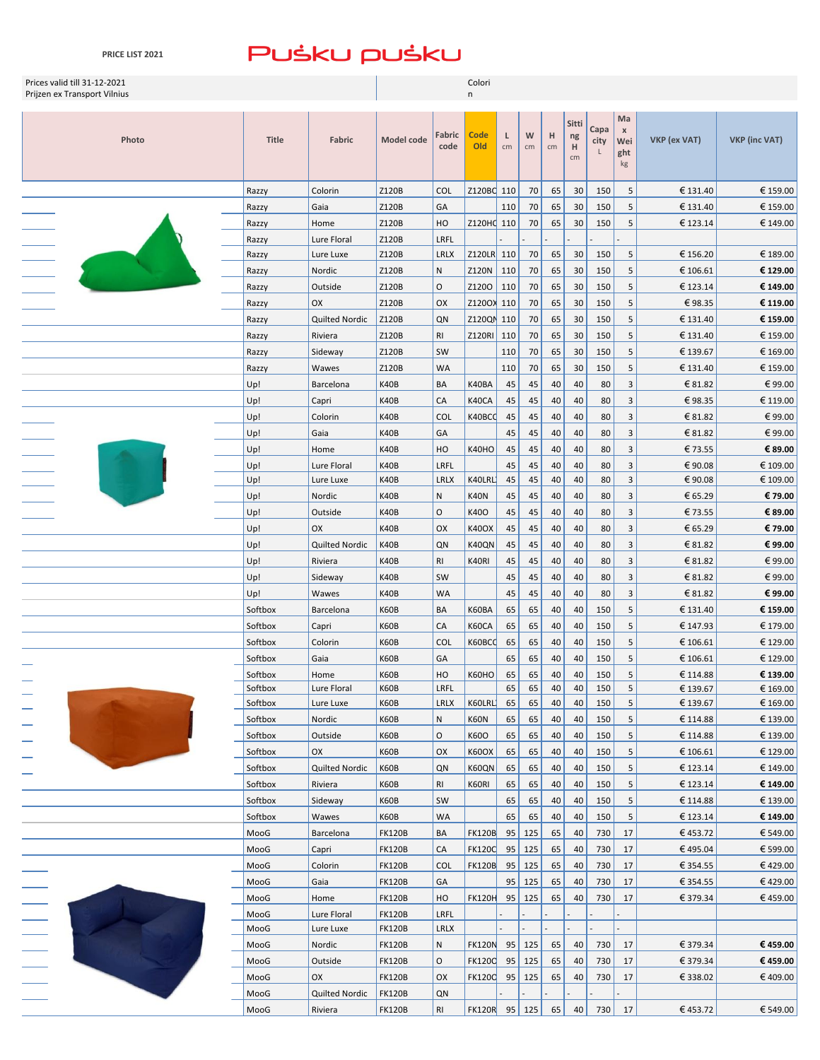| Prices valid till 31-12-2021<br>Prijzen ex Transport Vilnius |                    |                      |                                | Colori<br>n      |               |          |            |          |          |            |                       |                      |                      |  |
|--------------------------------------------------------------|--------------------|----------------------|--------------------------------|------------------|---------------|----------|------------|----------|----------|------------|-----------------------|----------------------|----------------------|--|
|                                                              |                    |                      |                                |                  |               |          |            |          |          |            |                       |                      |                      |  |
|                                                              |                    |                      |                                |                  |               |          |            |          | Sitti    | Capa       | Ma                    |                      |                      |  |
| Photo                                                        | <b>Title</b>       | Fabric               | Model code                     | Fabric           | <b>Code</b>   | L        | W          | н        | ng       | city       | $\pmb{\times}$<br>Wei | VKP (ex VAT)         | <b>VKP (inc VAT)</b> |  |
|                                                              |                    |                      |                                | code             | Old           | cm       | cm         | cm       | H<br>cm  |            | ght                   |                      |                      |  |
|                                                              |                    |                      |                                |                  |               |          |            |          |          |            | kg                    |                      |                      |  |
|                                                              | Razzy              | Colorin              | Z120B                          | <b>COL</b>       | Z120BC 110    |          | 70         | 65       | 30       | 150        | 5                     | € 131.40             | € 159.00             |  |
|                                                              | Razzy              | Gaia                 | Z120B                          | GA               |               | 110      | 70         | 65       | 30       | 150        | 5                     | € 131.40             | € 159.00             |  |
|                                                              | Razzy              | Home                 | Z120B                          | HO               | Z120HQ 110    |          | 70         | 65       | 30       | 150        | 5                     | € 123.14             | € 149.00             |  |
|                                                              | Razzy              | Lure Floral          | Z120B                          | LRFL             |               |          |            |          |          |            |                       |                      |                      |  |
|                                                              | Razzy              | Lure Luxe            | Z120B                          | <b>LRLX</b>      | Z120LR 110    |          | 70         | 65       | 30       | 150        | 5                     | € 156.20             | € 189.00             |  |
|                                                              | Razzy              | Nordic               | Z120B                          | ${\sf N}$        | Z120N         | 110      | 70         | 65       | 30       | 150        | 5                     | € 106.61             | € 129.00             |  |
|                                                              | Razzy              | Outside              | Z120B                          | $\circ$          | Z1200         | 110      | 70         | 65       | 30       | 150        | 5                     | € 123.14             | € 149.00             |  |
|                                                              | Razzy              | OX                   | Z120B                          | OX               | Z1200X 110    |          | 70         | 65       | 30       | 150        | 5                     | €98.35               | € 119.00             |  |
|                                                              | Razzy              | Quilted Nordic       | Z120B                          | QN               | Z120QN 110    |          | 70         | 65       | 30       | 150        | 5                     | € 131.40             | € 159.00             |  |
|                                                              | Razzy              | Riviera              | Z120B                          | RI               | Z120RI        | 110      | 70         | 65       | 30       | 150        | 5                     | € 131.40             | € 159.00             |  |
|                                                              | Razzy              | Sideway              | Z120B                          | SW               |               | 110      | 70         | 65       | 30       | 150        | 5                     | € 139.67             | € 169.00             |  |
|                                                              | Razzy              | Wawes                | Z120B                          | <b>WA</b>        |               | 110      | 70         | 65       | 30       | 150        | 5                     | € 131.40             | € 159.00             |  |
|                                                              | Up!                | Barcelona            | K40B                           | BA               | K40BA         | 45       | 45         | 40       | 40       | 80         | 3                     | € 81.82              | €99.00               |  |
|                                                              | Up!                | Capri                | K40B                           | CA               | K40CA         | 45       | 45         | 40       | 40       | 80         | $\overline{3}$        | €98.35               | € 119.00             |  |
|                                                              | Up!                | Colorin              | K40B                           | <b>COL</b>       | K40BCC        | 45       | 45         | 40       | 40       | 80         | 3                     | € 81.82              | €99.00               |  |
|                                                              | Up!                | Gaia                 | K40B                           | GA               |               | 45       | 45         | 40       | 40       | 80         | $\mathbf{3}$          | € 81.82              | €99.00               |  |
|                                                              | Up!                | Home                 | K40B                           | HO               | K40HO         | 45       | 45         | 40       | 40       | 80         | 3                     | €73.55               | € 89.00              |  |
|                                                              | Up!                | Lure Floral          | K40B                           | LRFL             |               | 45       | 45         | 40       | 40       | 80         | 3                     | €90.08               | € 109.00             |  |
|                                                              | Up!                | Lure Luxe            | K40B                           | <b>LRLX</b>      | K40LRL        | 45       | 45         | 40       | 40       | 80         | 3                     | €90.08               | € 109.00             |  |
|                                                              | Up!                | Nordic               | K40B                           | N                | <b>K40N</b>   | 45       | 45         | 40       | 40       | 80         | 3                     | € 65.29              | € 79.00              |  |
|                                                              | Up!                | Outside              | K40B                           | $\circ$          | K40O          | 45       | 45         | 40       | 40       | 80         | $\overline{3}$        | €73.55               | € 89.00              |  |
|                                                              | Up!                | OX                   | K40B                           | OX               | <b>K40OX</b>  | 45       | 45         | 40       | 40       | 80         | 3                     | € 65.29              | € 79.00              |  |
|                                                              | Up!                | Quilted Nordic       | K40B                           | QN               | K40QN         | 45       | 45         | 40       | 40       | 80         | $\overline{3}$        | € 81.82              | € 99.00              |  |
|                                                              | Up!                | Riviera              | K40B                           | R1               | K40RI         | 45       | 45         | 40       | 40       | 80         | $\overline{3}$        | € 81.82              | €99.00               |  |
|                                                              | Up!                | Sideway              | K40B                           | SW               |               | 45       | 45         | 40       | 40       | 80         | 3                     | € 81.82              | €99.00               |  |
|                                                              | Up!                | Wawes                | K40B                           | <b>WA</b>        |               | 45       | 45         | 40       | 40       | 80         | 3                     | € 81.82              | € 99.00              |  |
|                                                              | Softbox            | Barcelona            | K60B                           | BA               | K60BA         | 65       | 65         | 40       | 40       | 150        | 5                     | € 131.40             | € 159.00             |  |
|                                                              | Softbox            | Capri                | K60B                           | CA               | K60CA         | 65       | 65         | 40       | 40       | 150        | 5                     | € 147.93             | € 179.00             |  |
|                                                              | Softbox            | Colorin              | K60B                           | <b>COL</b>       | K60BCC        | 65       | 65         | 40       | 40       | 150        | 5                     | € 106.61             | € 129.00             |  |
|                                                              | Softbox            | Gaia                 | K60B                           | GA               |               | 65       | 65         | 40       | 40       | 150        | 5                     | € 106.61             | € 129.00             |  |
|                                                              | Softbox            | Home                 | K60B                           | $\sf{HO}$        | <b>K60HO</b>  | 65       | 65         | 40       | 40       | 150        | $\overline{5}$        | € 114.88             | € 139.00             |  |
|                                                              | Softbox            | Lure Floral          | K60B                           | LRFL             |               | 65       | 65         | 40       | 40       | 150        | 5                     | € 139.67             | € 169.00             |  |
|                                                              | Softbox            | Lure Luxe            | K60B                           | LRLX             | K60LRL        | 65       | 65         | 40       | 40       | 150        | 5                     | € 139.67             | € 169.00             |  |
|                                                              | Softbox            | Nordic               | K60B                           | N                | K60N          | 65       | 65         | 40       | 40       | 150        | 5                     | € 114.88             | € 139.00             |  |
|                                                              | Softbox            | Outside              | K60B                           | $\mathsf O$      | K60O          | 65       | 65         | 40       | 40       | 150        | 5                     | € 114.88             | € 139.00             |  |
|                                                              | Softbox            | OX<br>Quilted Nordic | K60B                           | OX               | K60OX         | 65<br>65 | 65<br>65   | 40<br>40 | 40<br>40 | 150<br>150 | 5                     | € 106.61             | € 129.00<br>€ 149.00 |  |
|                                                              | Softbox<br>Softbox |                      | K60B<br>K60B                   | QN               | K60QN         |          |            |          |          |            | 5                     | € 123.14             | € 149.00             |  |
|                                                              | Softbox            | Riviera<br>Sideway   | K60B                           | RI<br>SW         | K60RI         | 65<br>65 | 65<br>65   | 40<br>40 | 40<br>40 | 150<br>150 | 5<br>$\overline{5}$   | € 123.14<br>€ 114.88 | € 139.00             |  |
|                                                              | Softbox            | Wawes                | K60B                           | WA               |               | 65       | 65         | 40       | 40       | 150        | 5                     | € 123.14             | € 149.00             |  |
|                                                              | MooG               |                      | <b>FK120B</b>                  | BA               | <b>FK120B</b> | 95       | 125        |          | 40       | 730        |                       | €453.72              | € 549.00             |  |
|                                                              | MooG               | Barcelona<br>Capri   | <b>FK120B</b>                  | CA               | <b>FK1200</b> | 95       | 125        | 65<br>65 | 40       | 730        | 17<br>17              | €495.04              | € 599.00             |  |
|                                                              |                    |                      |                                |                  |               |          |            |          |          |            |                       |                      | €429.00              |  |
|                                                              | MooG<br>MooG       | Colorin              | <b>FK120B</b>                  | <b>COL</b><br>GA | <b>FK120B</b> | 95<br>95 | 125<br>125 | 65       | 40       | 730<br>730 | 17                    | € 354.55             | €429.00              |  |
|                                                              | MooG               | Gaia<br>Home         | <b>FK120B</b><br><b>FK120B</b> | HO               | <b>FK120H</b> | 95       | 125        | 65<br>65 | 40<br>40 | 730        | 17<br>17              | € 354.55<br>€ 379.34 | €459.00              |  |
|                                                              | MooG               | Lure Floral          |                                | LRFL             |               |          |            |          |          |            |                       |                      |                      |  |
|                                                              | MooG               | Lure Luxe            | <b>FK120B</b><br><b>FK120B</b> | LRLX             |               |          |            |          |          |            |                       |                      |                      |  |
|                                                              | MooG               | Nordic               | <b>FK120B</b>                  | N                | <b>FK120N</b> |          | $95$ 125   | 65       | 40       | 730        | 17                    | € 379.34             | €459.00              |  |
|                                                              | MooG               | Outside              | <b>FK120B</b>                  | O                | <b>FK1200</b> | 95       | 125        | 65       | 40       | 730        | 17                    | € 379.34             | €459.00              |  |
|                                                              | MooG               | OX                   | <b>FK120B</b>                  | OX               | <b>FK1200</b> | 95       | 125        | 65       | 40       | 730        | 17                    | € 338.02             | €409.00              |  |
|                                                              | MooG               | Quilted Nordic       | <b>FK120B</b>                  | QN               |               |          |            |          |          |            |                       |                      |                      |  |
|                                                              | MooG               | Riviera              | <b>FK120B</b>                  | R1               | FK120R 95 125 |          |            | 65       | 40       | 730        | 17                    | €453.72              | € 549.00             |  |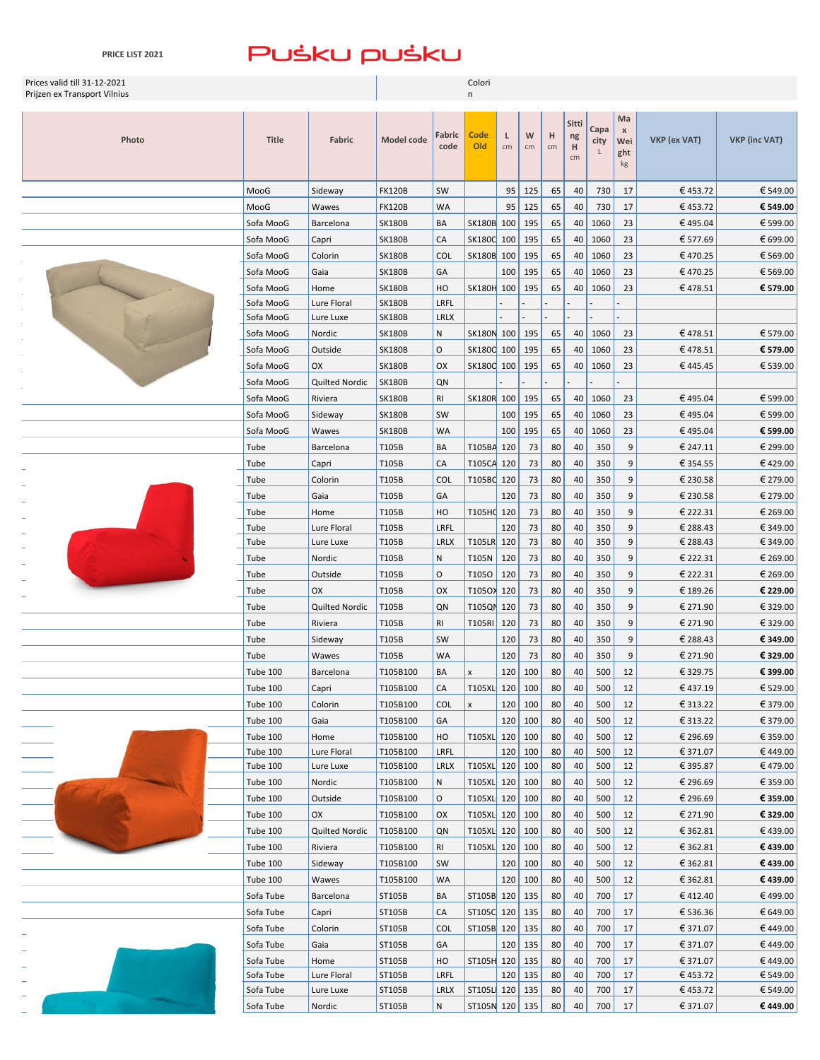| Prices valid till 31-12-2021<br>Prijzen ex Transport Vilnius |                        |                     | Colori           |                     |                    |            |           |          |                        |              |                                        |                      |                      |
|--------------------------------------------------------------|------------------------|---------------------|------------------|---------------------|--------------------|------------|-----------|----------|------------------------|--------------|----------------------------------------|----------------------|----------------------|
| Photo                                                        | <b>Title</b>           | <b>Fabric</b>       | Model code       | Fabric<br>code      | <b>Code</b><br>Old | L<br>cm    | W<br>cm   | н<br>cm  | Sitti<br>ng<br>H<br>cm | Capa<br>city | Ma<br>$\pmb{\chi}$<br>Wei<br>ght<br>kg | VKP (ex VAT)         | <b>VKP</b> (inc VAT) |
|                                                              | MooG                   | Sideway             | <b>FK120B</b>    | SW                  |                    | 95         | 125       | 65       | 40                     | 730          | 17                                     | €453.72              | € 549.00             |
|                                                              | MooG                   | Wawes               | <b>FK120B</b>    | <b>WA</b>           |                    | 95         | 125       | 65       | 40                     | 730          | 17                                     | €453.72              | € 549.00             |
|                                                              | Sofa MooG              | Barcelona           | <b>SK180B</b>    | BA                  | SK180B 100         |            | 195       | 65       | 40                     | 1060         | 23                                     | €495.04              | € 599.00             |
|                                                              | Sofa MooG              | Capri               | <b>SK180B</b>    | CA                  | SK180C 100         |            | 195       | 65       | 40                     | 1060         | 23                                     | € 577.69             | € 699.00             |
|                                                              | Sofa MooG              | Colorin             | <b>SK180B</b>    | <b>COL</b>          | SK180B 100         |            | 195       | 65       | 40                     | 1060         | 23                                     | €470.25              | € 569.00             |
|                                                              | Sofa MooG              | Gaia                | <b>SK180B</b>    | GA                  |                    | 100        | 195       | 65       | 40                     | 1060         | 23                                     | €470.25              | € 569.00             |
|                                                              | Sofa MooG              | Home                | <b>SK180B</b>    | HO                  | SK180H 100         |            | 195       | 65       | 40                     | 1060         | 23                                     | €478.51              | € 579.00             |
|                                                              | Sofa MooG              | Lure Floral         | <b>SK180B</b>    | LRFL                |                    |            |           |          |                        |              |                                        |                      |                      |
|                                                              | Sofa MooG              | Lure Luxe           | <b>SK180B</b>    | <b>LRLX</b>         |                    |            |           |          |                        |              |                                        |                      |                      |
|                                                              | Sofa MooG              | Nordic              | <b>SK180B</b>    | N                   | SK180N 100         |            | 195       | 65       | 40                     | 1060         | 23                                     | €478.51              | € 579.00             |
|                                                              | Sofa MooG              | Outside             | <b>SK180B</b>    | $\circ$             | SK180C 100         |            | 195       | 65       | 40                     | 1060         | 23                                     | €478.51              | € 579.00             |
|                                                              | Sofa MooG              | OX                  | <b>SK180B</b>    | OX                  | SK180C 100         |            | 195       | 65       | 40                     | 1060         | 23                                     | €445.45              | € 539.00             |
|                                                              | Sofa MooG              | Quilted Nordic      | <b>SK180B</b>    | QN                  |                    |            |           |          |                        |              |                                        |                      |                      |
|                                                              | Sofa MooG              | Riviera             | <b>SK180B</b>    | R <sub>l</sub>      | SK180R 100         |            | 195       | 65       | 40                     | 1060         | 23                                     | €495.04              | € 599.00             |
|                                                              | Sofa MooG              | Sideway             | <b>SK180B</b>    | SW                  |                    | 100        | 195       | 65       | 40                     | 1060         | 23                                     | €495.04              | € 599.00             |
|                                                              | Sofa MooG              | Wawes               | <b>SK180B</b>    | <b>WA</b>           |                    | 100        | 195       | 65       | 40                     | 1060         | 23                                     | €495.04              | € 599.00             |
|                                                              | Tube                   | Barcelona           | T105B            | BA                  | T105BA 120         |            | 73        | 80       | 40                     | 350          | 9                                      | € 247.11             | € 299.00             |
|                                                              | Tube                   | Capri               | T105B            | CA                  | T105CA 120         |            | 73        | 80       | 40                     | 350          | 9                                      | € 354.55             | €429.00              |
|                                                              | Tube                   | Colorin             | T105B            | <b>COL</b>          | T105BC 120         |            | 73        | 80       | 40                     | 350          | 9                                      | € 230.58             | € 279.00             |
|                                                              | Tube                   | Gaia                | T105B            | GA                  |                    | 120        | 73        | 80       | 40                     | 350          | 9                                      | € 230.58             | € 279.00             |
|                                                              | Tube                   | Home                | T105B            | HO                  | T105HQ 120         |            | 73        | 80       | 40                     | 350          | 9                                      | € 222.31             | € 269.00             |
|                                                              | Tube                   | Lure Floral         | T105B            | LRFL                |                    | 120        | 73        | 80       | 40                     | 350          | 9                                      | € 288.43             | € 349.00             |
|                                                              | Tube                   | Lure Luxe           | T105B            | <b>LRLX</b><br>N    | T105LR 120         |            | 73        | 80       | 40                     | 350          | 9                                      | € 288.43             | € 349.00             |
|                                                              | Tube<br>Tube           | Nordic<br>Outside   | T105B<br>T105B   | $\circ$             | T105N<br>T1050     | 120<br>120 | 73<br>73  | 80<br>80 | 40<br>40               | 350<br>350   | 9<br>9                                 | € 222.31<br>€ 222.31 | € 269.00<br>€ 269.00 |
|                                                              | Tube                   | OX                  | T105B            | OX                  | T105OX 120         |            | 73        | 80       | 40                     | 350          | 9                                      | € 189.26             | € 229.00             |
|                                                              | Tube                   | Quilted Nordic      | T105B            | QN                  | T105QN             | 120        | 73        | 80       | 40                     | 350          | 9                                      | € 271.90             | € 329.00             |
|                                                              | Tube                   | Riviera             | T105B            | R <sub>l</sub>      | T105RI 120         |            | 73        | 80       | 40                     | 350          | 9                                      | € 271.90             | € 329.00             |
|                                                              | Tube                   | Sideway             | T105B            | SW                  |                    | 120        | 73        | 80       | 40                     | 350          | 9                                      | € 288.43             | € 349.00             |
|                                                              | Tube                   | Wawes               | T105B            | <b>WA</b>           |                    | 120        | 73        | 80       | 40                     | 350          | 9                                      | € 271.90             | € 329.00             |
|                                                              | <b>Tube 100</b>        | Barcelona           | T105B100         | BA                  |                    |            | 120   100 | 80       | 40                     | 500          | $12\,$                                 | €329.75              | € 399.00             |
|                                                              | Tube 100               | Capri               | T105B100         | CA                  | T105XL 120         |            | 100       | 80       | 40                     | 500          | 12                                     | €437.19              | € 529.00             |
|                                                              | <b>Tube 100</b>        | Colorin             | T105B100         | <b>COL</b>          | x                  | 120        | 100       | 80       | 40                     | 500          | 12                                     | € 313.22             | € 379.00             |
|                                                              | Tube 100               | Gaia                | T105B100         | GA                  |                    | 120        | 100       | 80       | 40                     | 500          | 12                                     | € 313.22             | € 379.00             |
|                                                              | Tube 100               | Home                | T105B100         | HO                  | T105XL 120         |            | 100       | 80       | 40                     | 500          | 12                                     | € 296.69             | € 359.00             |
|                                                              | Tube 100               | Lure Floral         | T105B100         | LRFL                |                    | 120        | 100       | 80       | 40                     | 500          | 12                                     | € 371.07             | €449.00              |
|                                                              | Tube 100               | Lure Luxe           | T105B100         | <b>LRLX</b>         | T105XL 120         |            | 100       | 80       | 40                     | 500          | 12                                     | € 395.87             | €479.00              |
|                                                              | Tube 100               | Nordic              | T105B100         | N                   | T105XL 120         |            | 100       | 80       | 40                     | 500          | 12                                     | € 296.69             | € 359.00             |
|                                                              | Tube 100               | Outside             | T105B100         | O                   | T105XL 120         |            | 100       | 80       | 40                     | 500          | 12                                     | € 296.69             | € 359.00             |
|                                                              | Tube 100               | OX                  | T105B100         | OX                  | T105XL 120         |            | 100       | 80       | 40                     | 500          | 12                                     | € 271.90             | € 329.00             |
|                                                              | Tube 100               | Quilted Nordic      | T105B100         | QN                  | T105XL 120         |            | 100       | 80       | 40                     | 500          | 12                                     | € 362.81             | €439.00              |
|                                                              | Tube 100               | Riviera             | T105B100         | <b>RI</b>           | T105XL 120         |            | 100       | 80       | 40                     | 500          | 12                                     | € 362.81             | €439.00              |
|                                                              | <b>Tube 100</b>        | Sideway             | T105B100         | SW                  |                    | 120        | 100       | 80       | 40                     | 500          | 12                                     | € 362.81             | €439.00              |
|                                                              | Tube 100               | Wawes               | T105B100         | <b>WA</b>           |                    | 120        | 100       | 80       | 40                     | 500          | 12                                     | € 362.81             | €439.00              |
|                                                              | Sofa Tube              | Barcelona           | ST105B           | BA                  | ST105B 120         |            | 135       | 80       | 40                     | 700          | 17                                     | €412.40              | €499.00              |
|                                                              | Sofa Tube              | Capri               | ST105B           | CA                  | ST105C 120         |            | 135       | 80       | 40                     | 700          | 17                                     | € 536.36             | € 649.00             |
|                                                              | Sofa Tube              | Colorin             | ST105B           | <b>COL</b>          | ST105B 120         |            | 135       | 80       | 40                     | 700          | 17                                     | € 371.07             | €449.00              |
|                                                              | Sofa Tube              | Gaia                | ST105B           | GA                  |                    | 120        | 135       | 80       | 40                     | 700          | 17                                     | € 371.07             | €449.00              |
|                                                              | Sofa Tube              | Home                | ST105B           | HO                  | ST105H 120         |            | 135       | 80       | 40                     | 700          | 17                                     | € 371.07             | €449.00              |
|                                                              | Sofa Tube              | Lure Floral         | ST105B<br>ST105B | LRFL<br><b>LRLX</b> | ST105L 120 135     | 120        | 135       | 80<br>80 | 40<br>40               | 700<br>700   | 17<br>17                               | €453.72              | € 549.00<br>€ 549.00 |
|                                                              | Sofa Tube<br>Sofa Tube | Lure Luxe<br>Nordic | ST105B           | ${\sf N}$           | ST105N 120 135     |            |           | 80       | 40                     | 700          | 17                                     | €453.72<br>€ 371.07  | €449.00              |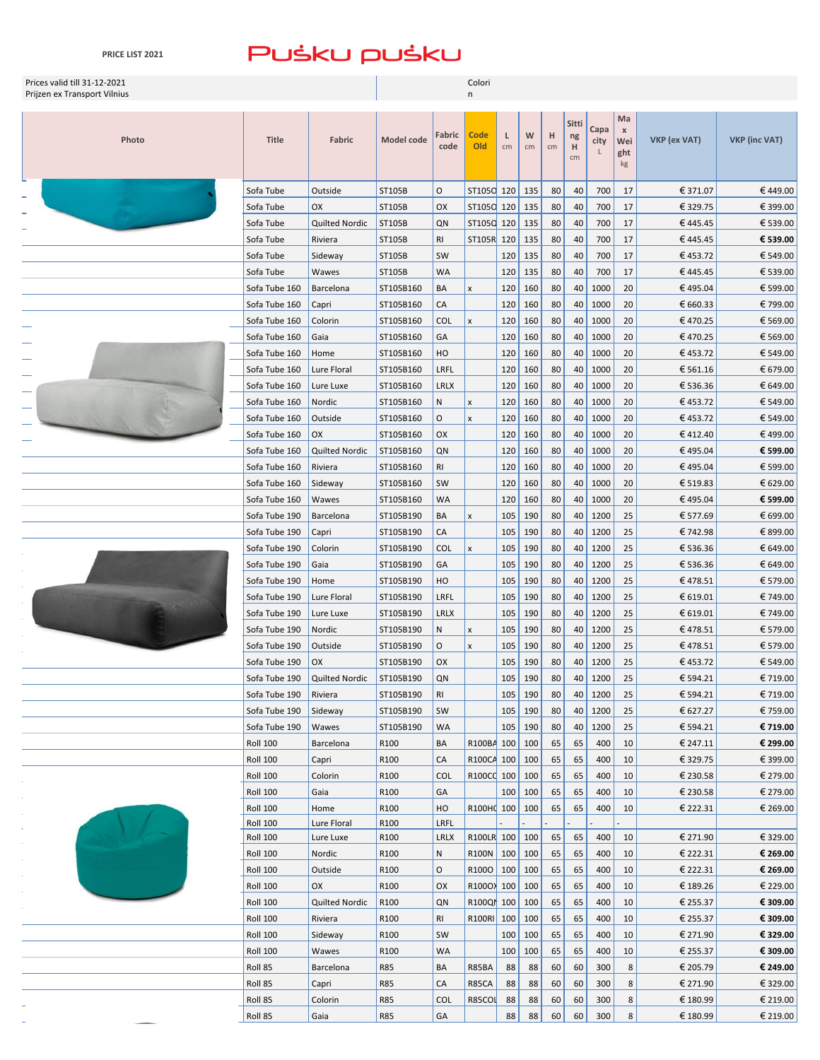### $-2 - 1 - 1$  $\overline{\phantom{a}}$ L.  $-21 - 1$  $\overline{\phantom{a}}$

| PRICE LIST 2021              |                        | PUSKU PUSKU          |                  |                 |                          |            |            |          |             |            |                |                     |                      |
|------------------------------|------------------------|----------------------|------------------|-----------------|--------------------------|------------|------------|----------|-------------|------------|----------------|---------------------|----------------------|
| Prices valid till 31-12-2021 |                        |                      |                  |                 | Colori                   |            |            |          |             |            |                |                     |                      |
| Prijzen ex Transport Vilnius |                        |                      |                  |                 | n                        |            |            |          |             |            |                |                     |                      |
|                              |                        |                      |                  |                 |                          |            |            |          |             |            | Ma             |                     |                      |
|                              |                        |                      |                  | Fabric          | Code                     | L          | W          | н        | Sitti<br>ng | Capa       | $\pmb{\times}$ |                     |                      |
| Photo                        | <b>Title</b>           | Fabric               | Model code       | code            | Old                      | cm         | cm         | cm       | н           | city       | Wei<br>ght     | <b>VKP</b> (ex VAT) | <b>VKP (inc VAT)</b> |
|                              |                        |                      |                  |                 |                          |            |            |          | cm          |            | kg             |                     |                      |
|                              |                        |                      |                  |                 |                          |            |            |          |             |            |                |                     |                      |
|                              | Sofa Tube              | Outside<br><b>OX</b> | ST105B           | O               | ST105C 120               |            | 135        | 80       | 40          | 700        | 17             | € 371.07            | €449.00<br>€ 399.00  |
|                              | Sofa Tube              |                      | ST105B           | OX              | ST1050 120<br>ST105C 120 |            | 135        | 80       | 40          | 700        | 17             | € 329.75            |                      |
|                              | Sofa Tube<br>Sofa Tube | Quilted Nordic       | ST105B<br>ST105B | QN<br><b>RI</b> | <b>ST105R</b>            | 120        | 135<br>135 | 80       | 40<br>40    | 700<br>700 | 17             | €445.45<br>€445.45  | € 539.00<br>€ 539.00 |
|                              |                        | Riviera              |                  | SW              |                          |            |            | 80       | 40          | 700        | 17             |                     |                      |
|                              | Sofa Tube<br>Sofa Tube | Sideway<br>Wawes     | ST105B<br>ST105B | <b>WA</b>       |                          | 120<br>120 | 135<br>135 | 80<br>80 | 40          | 700        | 17<br>17       | €453.72<br>€445.45  | € 549.00<br>€ 539.00 |
|                              | Sofa Tube 160          | Barcelona            | ST105B160        | BA              | X                        | 120        | 160        | 80       | 40          | 1000       | 20             | €495.04             | € 599.00             |
|                              | Sofa Tube 160          | Capri                | ST105B160        | CA              |                          | 120        | 160        | 80       | 40          | 1000       | 20             | € 660.33            | € 799.00             |
|                              | Sofa Tube 160          | Colorin              | ST105B160        | <b>COL</b>      | X                        | 120        | 160        | 80       | 40          | 1000       | 20             | €470.25             | € 569.00             |
|                              | Sofa Tube 160          | Gaia                 | ST105B160        | GA              |                          | 120        | 160        | 80       | 40          | 1000       | 20             | €470.25             | € 569.00             |
|                              | Sofa Tube 160          | Home                 | ST105B160        | HO              |                          | 120        | 160        | 80       | 40          | 1000       | 20             | €453.72             | € 549.00             |
|                              | Sofa Tube 160          | Lure Floral          | ST105B160        | LRFL            |                          | 120        | 160        | 80       | 40          | 1000       | 20             | € 561.16            | € 679.00             |
|                              | Sofa Tube 160          | Lure Luxe            | ST105B160        | <b>LRLX</b>     |                          | 120        | 160        | 80       | 40          | 1000       | 20             | € 536.36            | € 649.00             |
|                              | Sofa Tube 160          | Nordic               | ST105B160        | Ν               | X                        | 120        | 160        | 80       | 40          | 1000       | 20             | €453.72             | € 549.00             |
|                              | Sofa Tube 160          | Outside              | ST105B160        | O               | X                        | 120        | 160        | 80       | 40          | 1000       | 20             | €453.72             | € 549.00             |
|                              | Sofa Tube 160          | OX                   | ST105B160        | OX              |                          | 120        | 160        | 80       | 40          | 1000       | 20             | €412.40             | €499.00              |
|                              | Sofa Tube 160          | Quilted Nordic       | ST105B160        | QN              |                          | 120        | 160        | 80       | 40          | 1000       | 20             | €495.04             | € 599.00             |
|                              | Sofa Tube 160          | Riviera              | ST105B160        | RI              |                          | 120        | 160        | 80       | 40          | 1000       | 20             | €495.04             | € 599.00             |
|                              | Sofa Tube 160          | Sideway              | ST105B160        | SW              |                          | 120        | 160        | 80       | 40          | 1000       | 20             | € 519.83            | € 629.00             |
|                              | Sofa Tube 160          | Wawes                | ST105B160        | WA              |                          | 120        | 160        | 80       | 40          | 1000       | 20             | €495.04             | € 599.00             |
|                              | Sofa Tube 190          | Barcelona            | ST105B190        | BA              | X                        | 105        | 190        | 80       |             | 40 1200    | 25             | € 577.69            | € 699.00             |
|                              | Sofa Tube 190          | Capri                | ST105B190        | СA              |                          | 105        | 190        | 80       |             | 40 1200    | 25             | € 742.98            | € 899.00             |
|                              | Sofa Tube 190          | Colorin              | ST105B190        | <b>COL</b>      | x                        | 105        | 190        | 80       |             | 40 1200    | 25             | € 536.36            | € 649.00             |
|                              | Sofa Tube 190          | Gaia                 | ST105B190        | GA              |                          | 105        | 190        | 80       |             | 40 1200    | 25             | € 536.36            | € 649.00             |
|                              | Sofa Tube 190          | Home                 | ST105B190        | HO              |                          | 105        | 190        | 80       |             | 40 1200    | 25             | €478.51             | € 579.00             |
|                              | Sofa Tube 190          | Lure Floral          | ST105B190        | LRFL            |                          | 105        | 190        | 80       |             | 40 1200    | 25             | € 619.01            | € 749.00             |
|                              | Sofa Tube 190          | Lure Luxe            | ST105B190        | <b>LRLX</b>     |                          | 105        | 190        | 80       |             | 40 1200    | 25             | € 619.01            | € 749.00             |
|                              | Sofa Tube 190          | Nordic               | ST105B190        | Ν               | X                        | 105        | 190        | 80       | 40          | 1200       | 25             | €478.51             | € 579.00             |
|                              | Sofa Tube 190          | Outside              | ST105B190        | O               | X                        | 105        | 190        | 80       | 40          | 1200       | 25             | €478.51             | € 579.00             |
|                              | Sofa Tube 190          | OX                   | ST105B190        | OX              |                          | 105        | 190        | 80       |             | 40 1200    | 25             | €453.72             | € 549.00             |
|                              | Sofa Tube 190          | Quilted Nordic       | ST105B190        | QN              |                          | 105        | 190        | 80       |             | 40 1200    | 25             | € 594.21            | € 719.00             |
|                              | Sofa Tube 190          | Riviera              | ST105B190        | RI              |                          | 105        | 190        | 80       |             | 40 1200    | 25             | € 594.21            | € 719.00             |
|                              | Sofa Tube 190          | Sideway              | ST105B190        | SW              |                          | 105        | 190        | 80       |             | 40 1200    | 25             | € 627.27            | € 759.00             |
|                              | Sofa Tube 190          | Wawes                | ST105B190        | WA              |                          | 105        | 190        | 80       | 40          | 1200       | 25             | € 594.21            | € 719.00             |
|                              | <b>Roll 100</b>        | Barcelona            | R100             | BA              | R100BA                   | 100        | 100        | 65       | 65          | 400        | 10             | € 247.11            | € 299.00             |
|                              | <b>Roll 100</b>        | Capri                | R100             | СA              | R100CA 100               |            | 100        | 65       | 65          | 400        | 10             | € 329.75            | € 399.00             |
|                              | <b>Roll 100</b>        | Colorin              | R100             | COL             | R100CC 100               |            | 100        | 65       | 65          | 400        | 10             | € 230.58            | € 279.00             |
|                              | <b>Roll 100</b>        | Gaia                 | R100             | GA              |                          | 100        | 100        | 65       | 65          | 400        | 10             | € 230.58            | € 279.00             |
|                              | <b>Roll 100</b>        | Home                 | R100             | HO              | R100HO 100               |            | 100        | 65       | 65          | 400        | 10             | € 222.31            | € 269.00             |
|                              | <b>Roll 100</b>        | Lure Floral          | R100             | LRFL            |                          |            |            |          |             |            |                |                     |                      |
|                              | <b>Roll 100</b>        | Lure Luxe            | R100             | <b>LRLX</b>     | R100LR 100               |            | 100        | 65       | 65          | 400        | 10             | € 271.90            | € 329.00             |
|                              | <b>Roll 100</b>        | Nordic               | R100             | Ν               | R <sub>100</sub> N 100   |            | 100        | 65       | 65          | 400        | 10             | € 222.31            | € 269.00             |
|                              | <b>Roll 100</b>        | Outside              | R100             | O               | R <sub>100</sub> 100     |            | 100        | 65       | 65          | 400        | 10             | € 222.31            | € 269.00             |
|                              | <b>Roll 100</b>        | OX                   | R100             | OX              | R1000 100                |            | 100        | 65       | 65          | 400        | 10             | € 189.26            | € 229.00             |
|                              | <b>Roll 100</b>        | Quilted Nordic       | R100             | QN              | R100QM 100               |            | 100        | 65       | 65          | 400        | 10             | € 255.37            | € 309.00             |
|                              | <b>Roll 100</b>        | Riviera              | R100             | <b>RI</b>       | R100RI 100               |            | 100        | 65       | 65          | 400        | 10             | € 255.37            | € 309.00             |
|                              | <b>Roll 100</b>        | Sideway              | R100             | SW              |                          | 100        | 100        | 65       | 65          | 400        | 10             | € 271.90            | € 329.00             |
|                              | <b>Roll 100</b>        | Wawes                | R100             | WA              |                          | 100        | 100        | 65       | 65          | 400        | 10             | € 255.37            | € 309.00             |
|                              | Roll 85                | Barcelona            | <b>R85</b>       | ΒA              | R85BA                    | 88         | 88         | 60       | 60          | 300        | 8              | € 205.79            | € 249.00             |
|                              | Roll 85                | Capri                | <b>R85</b>       | CA              | <b>R85CA</b>             | 88         | 88         | 60       | 60          | 300        | 8              | € 271.90            | € 329.00             |

Roll 85 Colorin R85 COL R85COL 88 88 60 60 300 8 € 180.99 € 219.00 Roll 85 Gaia | R85 | GA | | 88 | 88 | 60 | 300 | 8 | € 180.99 | € 219.00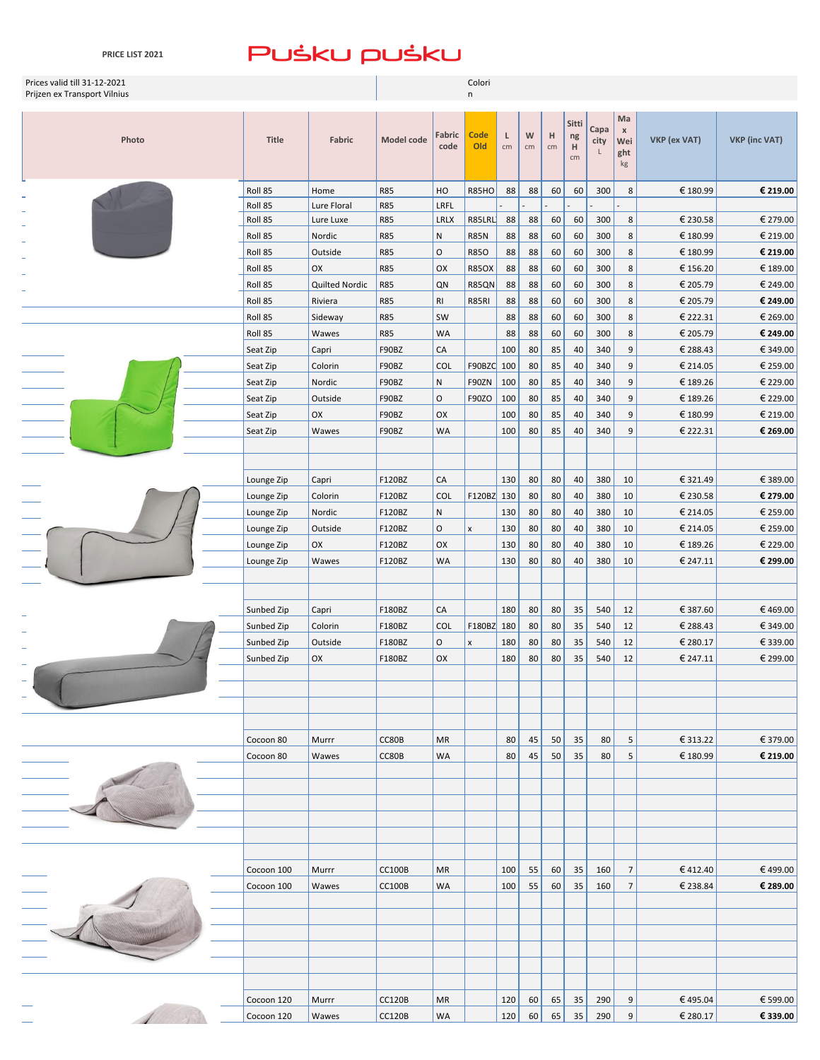**PRICE LIST 2021**

| Prices valid till 31-12-2021<br>Prijzen ex Transport Vilnius |                      |                   |                          |                 | Colori<br>n         |           |          |          |                        |                   |                                  |                      |                      |
|--------------------------------------------------------------|----------------------|-------------------|--------------------------|-----------------|---------------------|-----------|----------|----------|------------------------|-------------------|----------------------------------|----------------------|----------------------|
| Photo                                                        | <b>Title</b>         | Fabric            | Model code               | Fabric<br>code  | <b>Code</b><br>Old  | L<br>cm   | W<br>cm  | н<br>cm  | Sitti<br>ng<br>H<br>cm | Capa<br>city<br>L | Ma<br>$\,$ X<br>Wei<br>ght<br>kg | VKP (ex VAT)         | <b>VKP</b> (inc VAT) |
|                                                              | Roll 85              | Home              | <b>R85</b>               | HO              | <b>R85HO</b>        | 88        | 88       | 60       | 60                     | 300               | 8                                | € 180.99             | € 219.00             |
|                                                              | Roll 85              | Lure Floral       | <b>R85</b>               | LRFL            |                     |           |          |          |                        |                   |                                  |                      |                      |
|                                                              | Roll 85              | Lure Luxe         | <b>R85</b>               | LRLX            | R85LRL              | 88        | 88       | 60       | 60                     | 300               | 8                                | € 230.58             | € 279.00             |
|                                                              | Roll 85              | Nordic            | <b>R85</b>               | N               | <b>R85N</b>         | 88        | 88       | 60       | 60                     | 300               | 8                                | € 180.99             | € 219.00             |
|                                                              | Roll 85              | Outside           | <b>R85</b>               | $\mathsf O$     | <b>R850</b>         | 88        | 88       | 60       | 60                     | 300               | 8                                | € 180.99             | € 219.00             |
|                                                              | Roll 85              | OX                | <b>R85</b>               | OX              | <b>R85OX</b>        | 88        | 88       | 60       | 60                     | 300               | 8                                | € 156.20             | € 189.00             |
|                                                              | Roll 85              | Quilted Nordic    | <b>R85</b>               | QN              | R85QN               | 88        | 88       | 60       | 60                     | 300               | 8                                | € 205.79             | € 249.00             |
|                                                              | Roll 85              | Riviera           | <b>R85</b>               | RI              | R85RI               | 88        | 88       | 60       | 60                     | 300               | 8                                | € 205.79             | € 249.00             |
|                                                              | Roll 85<br>Roll 85   | Sideway<br>Wawes  | <b>R85</b><br><b>R85</b> | SW<br>WA        |                     | 88        | 88       | 60       | 60<br>60               | 300               | 8<br>8                           | € 222.31<br>€ 205.79 | € 269.00<br>€ 249.00 |
|                                                              |                      |                   |                          | CA              |                     | 88<br>100 | 88       | 60       | 40                     | 300<br>340        | 9                                | € 288.43             | € 349.00             |
|                                                              | Seat Zip             | Capri             | F90BZ                    |                 |                     |           | 80       | 85       |                        |                   |                                  |                      | € 259.00             |
|                                                              | Seat Zip<br>Seat Zip | Colorin<br>Nordic | F90BZ<br>F90BZ           | <b>COL</b><br>N | F90BZC 100<br>F90ZN | 100       | 80<br>80 | 85<br>85 | 40<br>40               | 340<br>340        | 9<br>9                           | € 214.05<br>€ 189.26 | € 229.00             |
|                                                              | Seat Zip             | Outside           | F90BZ                    | $\circ$         | F90ZO               | 100       | 80       | 85       | 40                     | 340               | 9                                | € 189.26             | € 229.00             |
|                                                              | Seat Zip             | OX                | F90BZ                    | OX              |                     | 100       | 80       | 85       | 40                     | 340               | 9                                | € 180.99             | € 219.00             |
|                                                              | Seat Zip             | Wawes             | F90BZ                    | WA              |                     | 100       | 80       | 85       | 40                     | 340               | 9                                | € 222.31             | € 269.00             |
|                                                              |                      |                   |                          |                 |                     |           |          |          |                        |                   |                                  |                      |                      |
|                                                              |                      |                   |                          |                 |                     |           |          |          |                        |                   |                                  |                      |                      |
|                                                              | Lounge Zip           | Capri             | F120BZ                   | ${\sf CA}$      |                     | 130       | 80       | 80       | 40                     | 380               | 10                               | € 321.49             | € 389.00             |
|                                                              | Lounge Zip           | Colorin           | F120BZ                   | <b>COL</b>      | F120BZ 130          |           | 80       | 80       | 40                     | 380               | 10                               | € 230.58             | € 279.00             |
|                                                              | Lounge Zip           | Nordic            | F120BZ                   | N               |                     | 130       | 80       | 80       | 40                     | 380               | 10                               | € 214.05             | € 259.00             |
|                                                              | Lounge Zip           | Outside           | F120BZ                   | O               | $\pmb{\times}$      | 130       | 80       | 80       | 40                     | 380               | 10                               | € 214.05             | € 259.00             |
|                                                              | Lounge Zip           | OX                | F120BZ                   | OX              |                     | 130       | 80       | 80       | 40                     | 380               | 10                               | € 189.26             | € 229.00             |
|                                                              | Lounge Zip           | Wawes             | F120BZ                   | <b>WA</b>       |                     | 130       | 80       | 80       | 40                     | 380               | 10                               | € 247.11             | € 299.00             |
|                                                              |                      |                   |                          |                 |                     |           |          |          |                        |                   |                                  |                      |                      |
|                                                              |                      |                   |                          |                 |                     |           |          |          |                        |                   |                                  |                      |                      |
|                                                              | Sunbed Zip           | Capri             | F180BZ                   | CA              |                     | 180       | 80       | 80       | 35                     | 540               | 12                               | € 387.60             | €469.00              |
|                                                              | Sunbed Zip           | Colorin           | F180BZ                   | <b>COL</b>      | F180BZ 180          |           | 80       | 80       | 35                     | 540               | 12                               | € 288.43             | € 349.00             |
|                                                              | Sunbed Zip           | Outside           | F180BZ                   | O               | $\pmb{\mathsf{x}}$  | 180       | 80       | 80       | 35                     | 540               | 12                               | € 280.17             | € 339.00             |
|                                                              | Sunbed Zip           | OX                | F180BZ                   | OX              |                     | 180       | 80       | 80       | 35                     | 540               | 12                               | € 247.11             | € 299.00             |
|                                                              |                      |                   |                          |                 |                     |           |          |          |                        |                   |                                  |                      |                      |
|                                                              |                      |                   |                          |                 |                     |           |          |          |                        |                   |                                  |                      |                      |
|                                                              |                      |                   |                          |                 |                     |           |          |          |                        |                   |                                  |                      |                      |
|                                                              |                      |                   |                          |                 |                     |           |          |          |                        |                   |                                  |                      |                      |
|                                                              | Cocoon 80            | Murrr             | CC80B                    | <b>MR</b>       |                     | 80        | 45       | 50       | 35                     | 80                | 5                                | € 313.22             | € 379.00             |
|                                                              | Cocoon 80            | Wawes             | CC80B                    | WA              |                     | 80        | 45       | 50       | 35                     | 80                | 5                                | € 180.99             | € 219.00             |
|                                                              |                      |                   |                          |                 |                     |           |          |          |                        |                   |                                  |                      |                      |
|                                                              |                      |                   |                          |                 |                     |           |          |          |                        |                   |                                  |                      |                      |
|                                                              |                      |                   |                          |                 |                     |           |          |          |                        |                   |                                  |                      |                      |
|                                                              |                      |                   |                          |                 |                     |           |          |          |                        |                   |                                  |                      |                      |
|                                                              |                      |                   |                          |                 |                     |           |          |          |                        |                   |                                  |                      |                      |
|                                                              |                      |                   |                          |                 |                     |           |          |          |                        |                   |                                  |                      |                      |
|                                                              | Cocoon 100           | Murrr             | <b>CC100B</b>            | <b>MR</b>       |                     | 100       | 55       | 60       | 35                     | 160               | 7                                | €412.40              | €499.00              |
|                                                              | Cocoon 100           | Wawes             | <b>CC100B</b>            | WA              |                     | 100       | 55       | 60       | 35                     | 160               | $\overline{7}$                   | € 238.84             | € 289.00             |
|                                                              |                      |                   |                          |                 |                     |           |          |          |                        |                   |                                  |                      |                      |
|                                                              |                      |                   |                          |                 |                     |           |          |          |                        |                   |                                  |                      |                      |
|                                                              |                      |                   |                          |                 |                     |           |          |          |                        |                   |                                  |                      |                      |
|                                                              |                      |                   |                          |                 |                     |           |          |          |                        |                   |                                  |                      |                      |
|                                                              |                      |                   |                          |                 |                     |           |          |          |                        |                   |                                  |                      |                      |
|                                                              |                      |                   |                          |                 |                     |           |          |          |                        |                   |                                  |                      |                      |
|                                                              | Cocoon 120           | Murrr             | <b>CC120B</b>            | MR              |                     | 120       | 60       | 65       | 35                     | 290               | 9                                | €495.04              | € 599.00             |

Cocoon 120 Wawes CC120B WA 120 60 65 35 290 9 € 280.17 **€ 339.00**